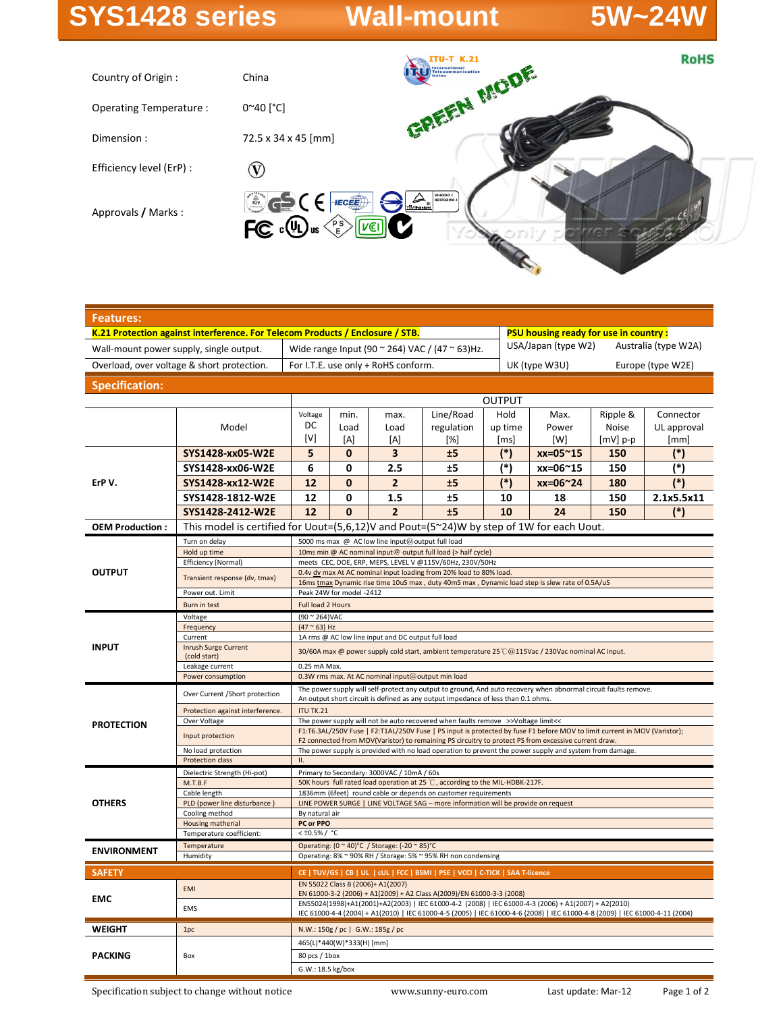# **SYS1428 series Wall-mount 5W~24W**



| <b>Features:</b>                           |                                                                                |                                                                                                                                                                                                               |                                                                                                                                                                              |                                               |            |                                             |                                              |            |             |  |
|--------------------------------------------|--------------------------------------------------------------------------------|---------------------------------------------------------------------------------------------------------------------------------------------------------------------------------------------------------------|------------------------------------------------------------------------------------------------------------------------------------------------------------------------------|-----------------------------------------------|------------|---------------------------------------------|----------------------------------------------|------------|-------------|--|
|                                            |                                                                                |                                                                                                                                                                                                               | K.21 Protection against interference. For Telecom Products / Enclosure / STB.                                                                                                |                                               |            |                                             | <b>PSU housing ready for use in country:</b> |            |             |  |
| Wall-mount power supply, single output.    | Wide range Input (90 $\approx$ 264) VAC / (47 $\approx$ 63)Hz.                 |                                                                                                                                                                                                               |                                                                                                                                                                              |                                               |            | USA/Japan (type W2)<br>Australia (type W2A) |                                              |            |             |  |
| Overload, over voltage & short protection. |                                                                                | For I.T.E. use only + RoHS conform.                                                                                                                                                                           |                                                                                                                                                                              |                                               |            |                                             | UK (type W3U)<br>Europe (type W2E)           |            |             |  |
| <b>Specification:</b>                      |                                                                                |                                                                                                                                                                                                               |                                                                                                                                                                              |                                               |            |                                             |                                              |            |             |  |
|                                            |                                                                                | <b>OUTPUT</b>                                                                                                                                                                                                 |                                                                                                                                                                              |                                               |            |                                             |                                              |            |             |  |
|                                            |                                                                                | Voltage                                                                                                                                                                                                       | Line/Road<br>Hold<br>min.<br>Max.<br>Ripple &<br>Connector<br>max.                                                                                                           |                                               |            |                                             |                                              |            |             |  |
|                                            | Model                                                                          | DC                                                                                                                                                                                                            | Load                                                                                                                                                                         | Load                                          | regulation | up time                                     | Power                                        | Noise      | UL approval |  |
|                                            |                                                                                | [V]                                                                                                                                                                                                           | [A]                                                                                                                                                                          | [A]                                           | [%]        | [ms]                                        | [W]                                          | $[mV]$ p-p | [mm]        |  |
| ErPV.                                      | SYS1428-xx05-W2E                                                               | 5                                                                                                                                                                                                             | $\bf{0}$                                                                                                                                                                     | 3                                             | ±5         | $(*)$                                       | xx=05~15                                     | 150        | (*)         |  |
|                                            | SYS1428-xx06-W2E                                                               | 6                                                                                                                                                                                                             | 0                                                                                                                                                                            | 2.5                                           | ±5         | $(*)$                                       | xx=06~15                                     | 150        | $(*)$       |  |
|                                            | SYS1428-xx12-W2E                                                               | 12                                                                                                                                                                                                            | $\mathbf{0}$                                                                                                                                                                 | $\overline{2}$                                | ±5         | $(*)$                                       | xx=06~24                                     | 180        | $(*)$       |  |
|                                            | SYS1428-1812-W2E                                                               | 12                                                                                                                                                                                                            | 0                                                                                                                                                                            | 1.5                                           | ±5         | 10                                          | 18                                           | 150        | 2.1x5.5x11  |  |
|                                            | SYS1428-2412-W2E                                                               | 12                                                                                                                                                                                                            | $\Omega$                                                                                                                                                                     | $\overline{2}$                                | ±5         | 10                                          | 24                                           | 150        | $(*)$       |  |
| <b>OEM Production:</b>                     |                                                                                |                                                                                                                                                                                                               | This model is certified for Uout= $(5,6,12)$ V and Pout= $(5^{\circ}24)$ W by step of 1W for each Uout.                                                                      |                                               |            |                                             |                                              |            |             |  |
| <b>OUTPUT</b>                              | Turn on delay                                                                  | 5000 ms max @ AC low line input@output full load                                                                                                                                                              |                                                                                                                                                                              |                                               |            |                                             |                                              |            |             |  |
|                                            | Hold up time                                                                   | 10ms min @ AC nominal input@ output full load (> half cycle)                                                                                                                                                  |                                                                                                                                                                              |                                               |            |                                             |                                              |            |             |  |
|                                            | Efficiency (Normal)                                                            | meets CEC, DOE, ERP, MEPS, LEVEL V @115V/60Hz, 230V/50Hz                                                                                                                                                      |                                                                                                                                                                              |                                               |            |                                             |                                              |            |             |  |
|                                            | Transient response (dv, tmax)                                                  | 0.4v dv max At AC nominal input loading from 20% load to 80% load.<br>16ms tmax Dynamic rise time 10uS max, duty 40mS max, Dynamic load step is slew rate of 0.5A/uS                                          |                                                                                                                                                                              |                                               |            |                                             |                                              |            |             |  |
|                                            | Power out. Limit                                                               | Peak 24W for model -2412                                                                                                                                                                                      |                                                                                                                                                                              |                                               |            |                                             |                                              |            |             |  |
|                                            | Burn in test                                                                   | Full load 2 Hours                                                                                                                                                                                             |                                                                                                                                                                              |                                               |            |                                             |                                              |            |             |  |
| <b>INPUT</b>                               | Voltage                                                                        | (90 ~ 264) VAC                                                                                                                                                                                                |                                                                                                                                                                              |                                               |            |                                             |                                              |            |             |  |
|                                            | Frequency<br>Current                                                           | $(47 ° 63)$ Hz<br>1A rms @ AC low line input and DC output full load                                                                                                                                          |                                                                                                                                                                              |                                               |            |                                             |                                              |            |             |  |
|                                            | Inrush Surge Current                                                           |                                                                                                                                                                                                               |                                                                                                                                                                              |                                               |            |                                             |                                              |            |             |  |
|                                            | (cold start)                                                                   | 30/60A max @ power supply cold start, ambient temperature 25°C @115Vac / 230Vac nominal AC input.                                                                                                             |                                                                                                                                                                              |                                               |            |                                             |                                              |            |             |  |
|                                            | Leakage current                                                                | 0.25 mA Max.<br>0.3W rms max. At AC nominal input@output min load                                                                                                                                             |                                                                                                                                                                              |                                               |            |                                             |                                              |            |             |  |
|                                            | Power consumption                                                              | The power supply will self-protect any output to ground, And auto recovery when abnormal circuit faults remove.                                                                                               |                                                                                                                                                                              |                                               |            |                                             |                                              |            |             |  |
| <b>PROTECTION</b>                          | Over Current /Short protection                                                 | An output short circuit is defined as any output impedance of less than 0.1 ohms.                                                                                                                             |                                                                                                                                                                              |                                               |            |                                             |                                              |            |             |  |
|                                            | Protection against interference.                                               | <b>ITU TK.21</b>                                                                                                                                                                                              |                                                                                                                                                                              |                                               |            |                                             |                                              |            |             |  |
|                                            | Over Voltage                                                                   | The power supply will not be auto recovered when faults remove >>Voltage limit<<<br>F1:T6.3AL/250V Fuse   F2:T1AL/250V Fuse   PS input is protected by fuse F1 before MOV to limit current in MOV (Varistor); |                                                                                                                                                                              |                                               |            |                                             |                                              |            |             |  |
|                                            | Input protection                                                               | F2 connected from MOV(Varistor) to remaining PS circuitry to protect PS from excessive current draw.                                                                                                          |                                                                                                                                                                              |                                               |            |                                             |                                              |            |             |  |
|                                            | No load protection                                                             | The power supply is provided with no load operation to prevent the power supply and system from damage.                                                                                                       |                                                                                                                                                                              |                                               |            |                                             |                                              |            |             |  |
|                                            | Protection class                                                               | П.                                                                                                                                                                                                            |                                                                                                                                                                              |                                               |            |                                             |                                              |            |             |  |
| <b>OTHERS</b>                              | Dielectric Strength (Hi-pot)<br>M.T.B.F                                        | Primary to Secondary: 3000VAC / 10mA / 60s<br>50K hours full rated load operation at 25 °C, according to the MIL-HDBK-217F.                                                                                   |                                                                                                                                                                              |                                               |            |                                             |                                              |            |             |  |
|                                            | Cable length                                                                   | 1836mm (6feet) round cable or depends on customer requirements                                                                                                                                                |                                                                                                                                                                              |                                               |            |                                             |                                              |            |             |  |
|                                            | PLD (power line disturbance)                                                   | LINE POWER SURGE   LINE VOLTAGE SAG - more information will be provide on request                                                                                                                             |                                                                                                                                                                              |                                               |            |                                             |                                              |            |             |  |
|                                            | Cooling method<br>Housing matherial                                            | By natural air<br>PC or PPO                                                                                                                                                                                   |                                                                                                                                                                              |                                               |            |                                             |                                              |            |             |  |
|                                            | Temperature coefficient:                                                       |                                                                                                                                                                                                               | < ±0.5% / °C                                                                                                                                                                 |                                               |            |                                             |                                              |            |             |  |
| <b>ENVIRONMENT</b>                         | Temperature                                                                    |                                                                                                                                                                                                               |                                                                                                                                                                              | Operating: (0 ~ 40)°C / Storage: (-20 ~ 85)°C |            |                                             |                                              |            |             |  |
|                                            | Operating: 8% ~ 90% RH / Storage: 5% ~ 95% RH non condensing<br>Humidity       |                                                                                                                                                                                                               |                                                                                                                                                                              |                                               |            |                                             |                                              |            |             |  |
| <b>SAFETY</b>                              | CE   TUV/GS   CB   UL   cUL   FCC   BSMI   PSE   VCCI   C-TICK   SAA T-licence |                                                                                                                                                                                                               |                                                                                                                                                                              |                                               |            |                                             |                                              |            |             |  |
| <b>EMC</b>                                 | EMI                                                                            |                                                                                                                                                                                                               | EN 55022 Class B (2006)+ A1(2007)                                                                                                                                            |                                               |            |                                             |                                              |            |             |  |
|                                            |                                                                                |                                                                                                                                                                                                               | EN 61000-3-2 (2006) + A1(2009) + A2 Class A(2009)/EN 61000-3-3 (2008)<br>EN55024(1998)+A1(2001)+A2(2003)   IEC 61000-4-2 (2008)   IEC 61000-4-3 (2006) + A1(2007) + A2(2010) |                                               |            |                                             |                                              |            |             |  |
|                                            | <b>EMS</b>                                                                     |                                                                                                                                                                                                               | IEC 61000-4-4 (2004) + A1(2010)   IEC 61000-4-5 (2005)   IEC 61000-4-6 (2008)   IEC 61000-4-8 (2009)   IEC 61000-4-11 (2004)                                                 |                                               |            |                                             |                                              |            |             |  |
| <b>WEIGHT</b>                              | 1pc                                                                            |                                                                                                                                                                                                               | N.W.: 150g / pc   G.W.: 185g / pc                                                                                                                                            |                                               |            |                                             |                                              |            |             |  |
| <b>PACKING</b>                             | Box                                                                            | 465(L)*440(W)*333(H) [mm]                                                                                                                                                                                     |                                                                                                                                                                              |                                               |            |                                             |                                              |            |             |  |
|                                            |                                                                                | 80 pcs / 1box                                                                                                                                                                                                 |                                                                                                                                                                              |                                               |            |                                             |                                              |            |             |  |
|                                            |                                                                                | G.W.: 18.5 kg/box                                                                                                                                                                                             |                                                                                                                                                                              |                                               |            |                                             |                                              |            |             |  |

Specification subject to change without notice www.sunny-euro.com Last update: Mar-12 Page 1 of 2